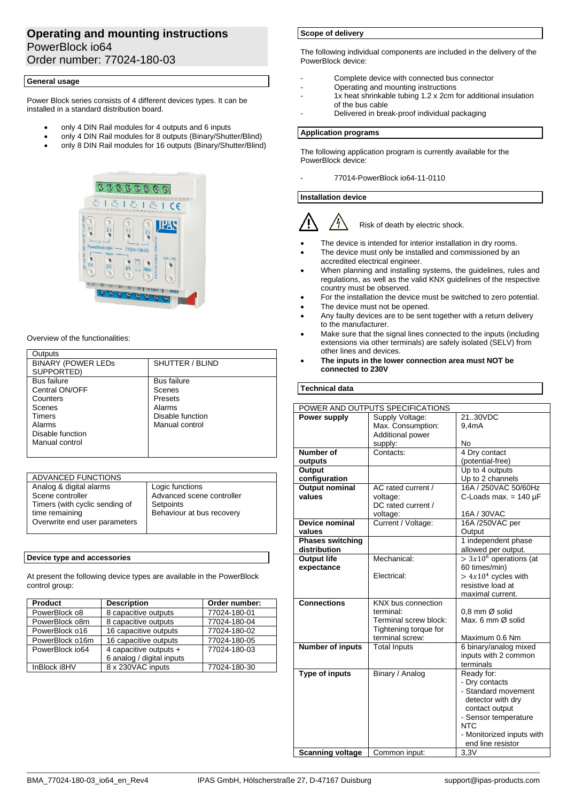# **Operating and mounting instructions** PowerBlock io64 Order number: 77024-180-03

# **General usage**

Power Block series consists of 4 different devices types. It can be installed in a standard distribution board.

- only 4 DIN Rail modules for 4 outputs and 6 inputs
- only 4 DIN Rail modules for 8 outputs (Binary/Shutter/Blind)
- only 8 DIN Rail modules for 16 outputs (Binary/Shutter/Blind)



# Overview of the functionalities:

| Outputs                   |                    |
|---------------------------|--------------------|
| <b>BINARY (POWER LEDS</b> | SHUTTER / BLIND    |
| SUPPORTED)                |                    |
| <b>Bus failure</b>        | <b>Bus failure</b> |
| Central ON/OFF            | Scenes             |
| Counters                  | Presets            |
| Scenes                    | Alarms             |
| Timers                    | Disable function   |
| Alarms                    | Manual control     |
| Disable function          |                    |
| Manual control            |                    |
|                           |                    |

| ADVANCED FUNCTIONS             |                           |
|--------------------------------|---------------------------|
| Analog & digital alarms        | Logic functions           |
| Scene controller               | Advanced scene controller |
| Timers (with cyclic sending of | Setpoints                 |
| time remaining                 | Behaviour at bus recovery |
| Overwrite end user parameters  |                           |
|                                |                           |

# **Device type and accessories**

At present the following device types are available in the PowerBlock control group:

| <b>Product</b>  | <b>Description</b>        | Order number: |
|-----------------|---------------------------|---------------|
| PowerBlock o8   | 8 capacitive outputs      | 77024-180-01  |
| PowerBlock o8m  | 8 capacitive outputs      | 77024-180-04  |
| PowerBlock o16  | 16 capacitive outputs     | 77024-180-02  |
| PowerBlock o16m | 16 capacitive outputs     | 77024-180-05  |
| PowerBlock io64 | 4 capacitive outputs +    | 77024-180-03  |
|                 | 6 analog / digital inputs |               |
| InBlock i8HV    | 8 x 230VAC inputs         | 77024-180-30  |

# **Scope of delivery**

The following individual components are included in the delivery of the PowerBlock device:

- Complete device with connected bus connector
- Operating and mounting instructions
- 1x heat shrinkable tubing 1.2 x 2cm for additional insulation of the bus cable
- Delivered in break-proof individual packaging

### **Application programs**

The following application program is currently available for the PowerBlock device:

- 77014-PowerBlock io64-11-0110

### **Installation device**



- The device is intended for interior installation in dry rooms.
- The device must only be installed and commissioned by an accredited electrical engineer.
- When planning and installing systems, the guidelines, rules and regulations, as well as the valid KNX guidelines of the respective country must be observed.
- For the installation the device must be switched to zero potential.
- The device must not be opened.
- Any faulty devices are to be sent together with a return delivery to the manufacturer.
- Make sure that the signal lines connected to the inputs (including extensions via other terminals) are safely isolated (SELV) from other lines and devices.
- **The inputs in the lower connection area must NOT be connected to 230V**

# **Technical data**

| POWER AND OUTPUTS SPECIFICATIONS |                       |                                       |
|----------------------------------|-----------------------|---------------------------------------|
| Power supply                     | Supply Voltage:       | 21.30VDC                              |
|                                  | Max. Consumption:     | 9,4mA                                 |
|                                  | Additional power      |                                       |
|                                  | supply:               | No                                    |
| Number of                        | Contacts:             | 4 Dry contact                         |
| outputs                          |                       | (potential-free)                      |
| Output                           |                       | Up to 4 outputs                       |
| configuration                    |                       | Up to 2 channels                      |
| <b>Output nominal</b>            | AC rated current /    | 16A / 250VAC 50/60Hz                  |
| values                           | voltage:              | C-Loads max. $= 140 \mu F$            |
|                                  | DC rated current /    |                                       |
|                                  | voltage:              | 16A / 30VAC                           |
| Device nominal                   | Current / Voltage:    | 16A /250VAC per                       |
| values                           |                       | Output                                |
| <b>Phases switching</b>          |                       | 1 independent phase                   |
| distribution                     |                       | allowed per output.                   |
| <b>Output life</b>               | Mechanical:           | $> 3x10^6$ operations (at             |
| expectance                       |                       | 60 times/min)                         |
|                                  | Electrical:           | $> 4x104$ cycles with                 |
|                                  |                       | resistive load at                     |
|                                  |                       | maximal current.                      |
| <b>Connections</b>               | KNX bus connection    |                                       |
|                                  | terminal:             | 0.8 mm Ø solid                        |
|                                  | Terminal screw block: | Max. 6 mm Ø solid                     |
|                                  | Tightening torque for |                                       |
|                                  | terminal screw:       | Maximum 0.6 Nm                        |
| <b>Number of inputs</b>          | <b>Total Inputs</b>   | 6 binary/analog mixed                 |
|                                  |                       | inputs with 2 common                  |
|                                  |                       | terminals                             |
| <b>Type of inputs</b>            | Binary / Analog       | Ready for:                            |
|                                  |                       | - Dry contacts<br>- Standard movement |
|                                  |                       |                                       |
|                                  |                       | detector with dry<br>contact output   |
|                                  |                       | - Sensor temperature                  |
|                                  |                       | <b>NTC</b>                            |
|                                  |                       | - Monitorized inputs with             |
|                                  |                       | end line resistor                     |
| <b>Scanning voltage</b>          | Common input:         | 3,3V                                  |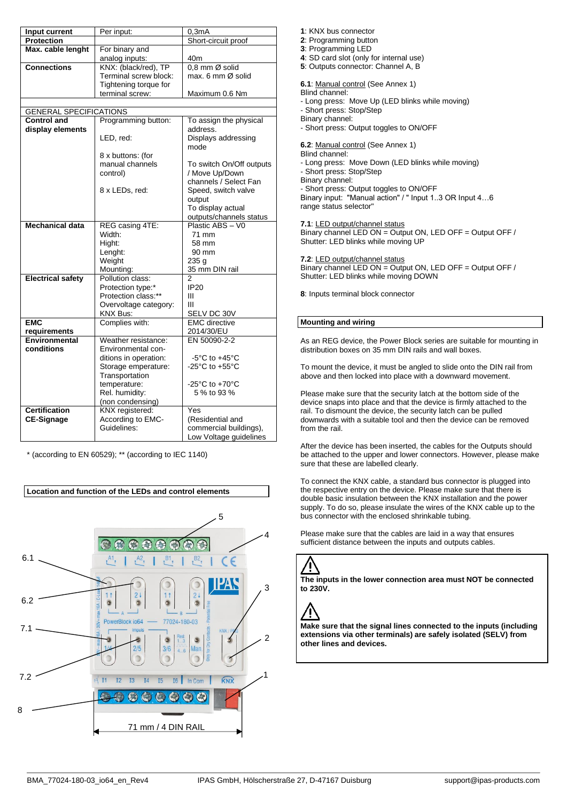| Input current                 | Per input:                         | 0,3mA                                   |
|-------------------------------|------------------------------------|-----------------------------------------|
| Protection                    |                                    | Short-circuit proof                     |
| Max. cable lenght             | For binary and                     |                                         |
|                               | analog inputs:                     | 40m                                     |
| <b>Connections</b>            | KNX: (black/red), TP               | 0,8 mm Ø solid                          |
|                               | Terminal screw block:              | max. 6 mm Ø solid                       |
|                               | Tightening torque for              |                                         |
|                               | terminal screw:                    | Maximum 0.6 Nm                          |
|                               |                                    |                                         |
| <b>GENERAL SPECIFICATIONS</b> |                                    |                                         |
| <b>Control and</b>            | Programming button:                | To assign the physical                  |
| display elements              |                                    | address.                                |
|                               | LED, red:                          | Displays addressing                     |
|                               |                                    | mode                                    |
|                               | 8 x buttons: (for                  |                                         |
|                               | manual channels                    | To switch On/Off outputs                |
|                               | control)                           | / Move Up/Down<br>channels / Select Fan |
|                               | 8 x LEDs, red:                     | Speed, switch valve                     |
|                               |                                    | output                                  |
|                               |                                    | To display actual                       |
|                               |                                    | outputs/channels status                 |
| <b>Mechanical data</b>        | REG casing 4TE:                    | Plastic ABS - V0                        |
|                               | Width:                             | 71 mm                                   |
|                               | Hight:                             | 58 mm                                   |
|                               | Lenght:                            | 90 mm                                   |
|                               | Weight                             | 235 g                                   |
|                               | Mounting:                          | 35 mm DIN rail                          |
| <b>Electrical safety</b>      | Pollution class:                   | 2                                       |
|                               | Protection type:*                  | <b>IP20</b>                             |
|                               | Protection class:**                | Ш                                       |
|                               | Overvoltage category:              | Ш                                       |
|                               | KNX Bus:                           | SELV DC 30V                             |
| <b>EMC</b>                    | Complies with:                     | <b>EMC</b> directive                    |
| requirements                  |                                    | 2014/30/EU                              |
| Environmental                 | Weather resistance:                | EN 50090-2-2                            |
| conditions                    | Environmental con-                 |                                         |
|                               | ditions in operation:              | $-5^{\circ}$ C to $+45^{\circ}$ C       |
|                               | Storage emperature:                | $-25^{\circ}$ C to $+55^{\circ}$ C      |
|                               | Transportation                     |                                         |
|                               | temperature:                       | -25 $^{\circ}$ C to +70 $^{\circ}$ C    |
|                               | Rel. humidity:<br>(non condensing) | 5 % to 93 %                             |
| <b>Certification</b>          | KNX registered:                    | Yes                                     |
| <b>CE-Signage</b>             | According to EMC-                  | (Residential and                        |
|                               | Guidelines:                        | commercial buildings),                  |
|                               |                                    | Low Voltage guidelines                  |

\* (according to EN 60529); \*\* (according to IEC 1140)

**Location and function of the LEDs and control elements**



- **1**: KNX bus connector
- **2**: Programming button
- **3**: Programming LED
- **4**: SD card slot (only for internal use)
- **5**: Outputs connector: Channel A, B
- **6.1**: Manual control (See Annex 1)
- Blind channel:
- Long press: Move Up (LED blinks while moving)
- Short press: Stop/Step
- Binary channel:
- Short press: Output toggles to ON/OFF
- **6.2**: Manual control (See Annex 1)
- Blind channel:
- Long press: Move Down (LED blinks while moving)
- Short press: Stop/Step
- Binary channel:
- Short press: Output toggles to ON/OFF
- Binary input: "Manual action" / " Input 1..3 OR Input 4…6 range status selector"

**7.1**: LED output/channel status

Binary channel LED ON = Output ON, LED OFF = Output OFF / Shutter: LED blinks while moving UP

**7.2**: LED output/channel status

Binary channel LED ON = Output ON, LED OFF = Output OFF / Shutter: LED blinks while moving DOWN

**8**: Inputs terminal block connector

# **Mounting and wiring**

As an REG device, the Power Block series are suitable for mounting in distribution boxes on 35 mm DIN rails and wall boxes.

To mount the device, it must be angled to slide onto the DIN rail from above and then locked into place with a downward movement.

Please make sure that the security latch at the bottom side of the device snaps into place and that the device is firmly attached to the rail. To dismount the device, the security latch can be pulled downwards with a suitable tool and then the device can be removed from the rail.

After the device has been inserted, the cables for the Outputs should be attached to the upper and lower connectors. However, please make sure that these are labelled clearly.

To connect the KNX cable, a standard bus connector is plugged into the respective entry on the device. Please make sure that there is double basic insulation between the KNX installation and the power supply. To do so, please insulate the wires of the KNX cable up to the bus connector with the enclosed shrinkable tubing.

Please make sure that the cables are laid in a way that ensures sufficient distance between the inputs and outputs cables.

**The inputs in the lower connection area must NOT be connected to 230V.**

Ţ

**Make sure that the signal lines connected to the inputs (including extensions via other terminals) are safely isolated (SELV) from other lines and devices.**